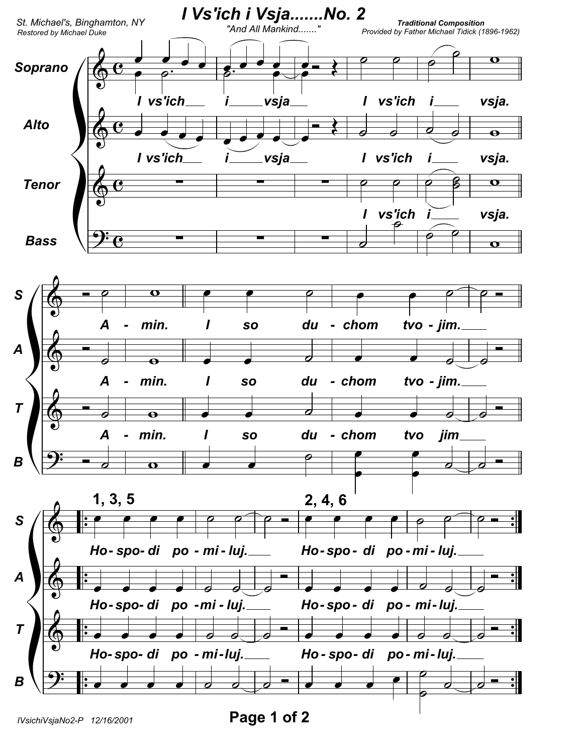

Page 1 of 2